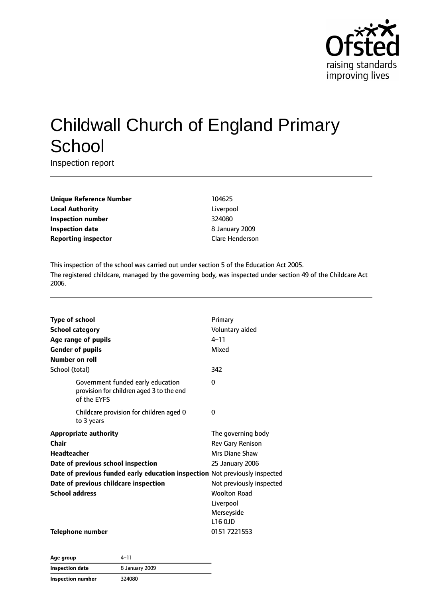

# Childwall Church of England Primary **School**

Inspection report

| <b>Unique Reference Number</b> |
|--------------------------------|
| <b>Local Authority</b>         |
| <b>Inspection number</b>       |
| Inspection date                |
| <b>Reporting inspector</b>     |

**Unique Reference Number** 104625 Liverpool **Inspection number** 324080 **Inspection date** 8 January 2009 **Reporting inspector** Clare Henderson

This inspection of the school was carried out under section 5 of the Education Act 2005. The registered childcare, managed by the governing body, was inspected under section 49 of the Childcare Act 2006.

| <b>Type of school</b>  |                                                                                              | Primary                  |
|------------------------|----------------------------------------------------------------------------------------------|--------------------------|
| <b>School category</b> |                                                                                              | Voluntary aided          |
|                        | Age range of pupils                                                                          | $4 - 11$                 |
|                        | <b>Gender of pupils</b>                                                                      | Mixed                    |
| Number on roll         |                                                                                              |                          |
| School (total)         |                                                                                              | 342                      |
|                        | Government funded early education<br>provision for children aged 3 to the end<br>of the EYFS | 0                        |
|                        | Childcare provision for children aged 0<br>to 3 years                                        | 0                        |
|                        | <b>Appropriate authority</b>                                                                 | The governing body       |
| Chair                  |                                                                                              | <b>Rev Gary Renison</b>  |
| Headteacher            |                                                                                              | Mrs Diane Shaw           |
|                        | Date of previous school inspection                                                           | 25 January 2006          |
|                        | Date of previous funded early education inspection Not previously inspected                  |                          |
|                        | Date of previous childcare inspection                                                        | Not previously inspected |
| <b>School address</b>  |                                                                                              | <b>Woolton Road</b>      |
|                        |                                                                                              | Liverpool                |
|                        |                                                                                              | Merseyside               |
|                        |                                                                                              | L16 0JD                  |
|                        | <b>Telephone number</b>                                                                      | 0151 7221553             |

| Age group                | 4–11           |  |
|--------------------------|----------------|--|
| Inspection date          | 8 January 2009 |  |
| <b>Inspection number</b> | 324080         |  |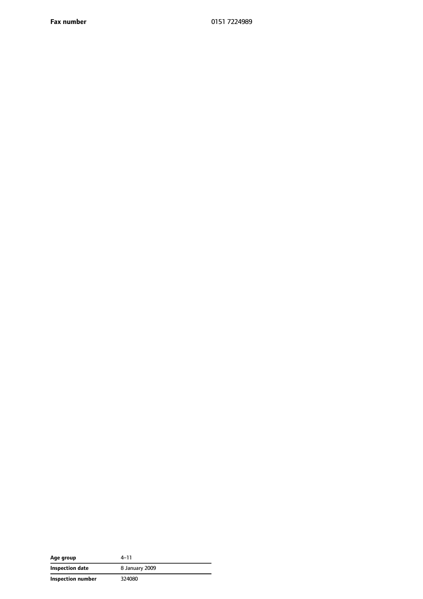**Fax number** 0151 7224989

| Age group         | 4–11           |
|-------------------|----------------|
| Inspection date   | 8 January 2009 |
| Inspection number | 324080         |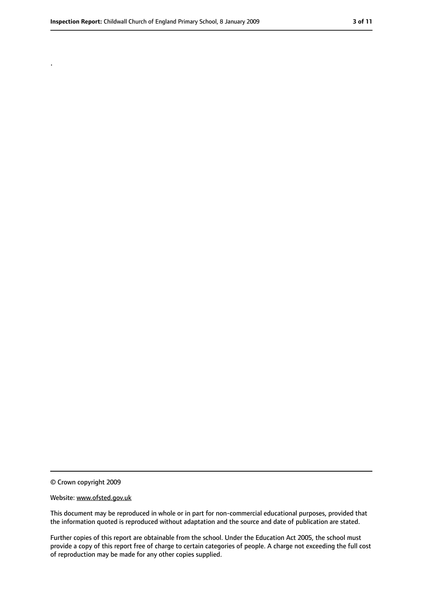.

<sup>©</sup> Crown copyright 2009

Website: www.ofsted.gov.uk

This document may be reproduced in whole or in part for non-commercial educational purposes, provided that the information quoted is reproduced without adaptation and the source and date of publication are stated.

Further copies of this report are obtainable from the school. Under the Education Act 2005, the school must provide a copy of this report free of charge to certain categories of people. A charge not exceeding the full cost of reproduction may be made for any other copies supplied.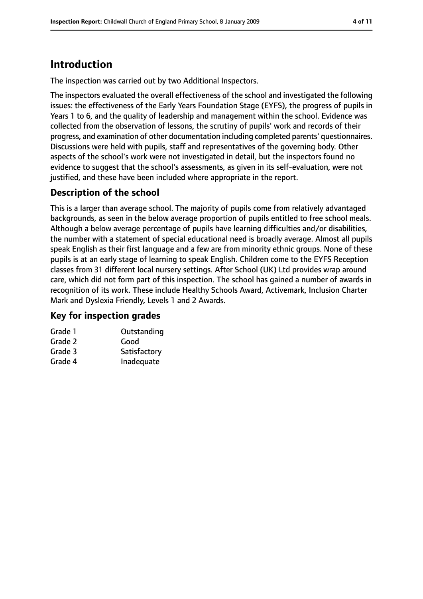## **Introduction**

The inspection was carried out by two Additional Inspectors.

The inspectors evaluated the overall effectiveness of the school and investigated the following issues: the effectiveness of the Early Years Foundation Stage (EYFS), the progress of pupils in Years 1 to 6, and the quality of leadership and management within the school. Evidence was collected from the observation of lessons, the scrutiny of pupils' work and records of their progress, and examination of other documentation including completed parents' questionnaires. Discussions were held with pupils, staff and representatives of the governing body. Other aspects of the school's work were not investigated in detail, but the inspectors found no evidence to suggest that the school's assessments, as given in its self-evaluation, were not justified, and these have been included where appropriate in the report.

## **Description of the school**

This is a larger than average school. The majority of pupils come from relatively advantaged backgrounds, as seen in the below average proportion of pupils entitled to free school meals. Although a below average percentage of pupils have learning difficulties and/or disabilities, the number with a statement of special educational need is broadly average. Almost all pupils speak English as their first language and a few are from minority ethnic groups. None of these pupils is at an early stage of learning to speak English. Children come to the EYFS Reception classes from 31 different local nursery settings. After School (UK) Ltd provides wrap around care, which did not form part of this inspection. The school has gained a number of awards in recognition of its work. These include Healthy Schools Award, Activemark, Inclusion Charter Mark and Dyslexia Friendly, Levels 1 and 2 Awards.

## **Key for inspection grades**

| Grade 1 | Outstanding  |
|---------|--------------|
| Grade 2 | Good         |
| Grade 3 | Satisfactory |
| Grade 4 | Inadequate   |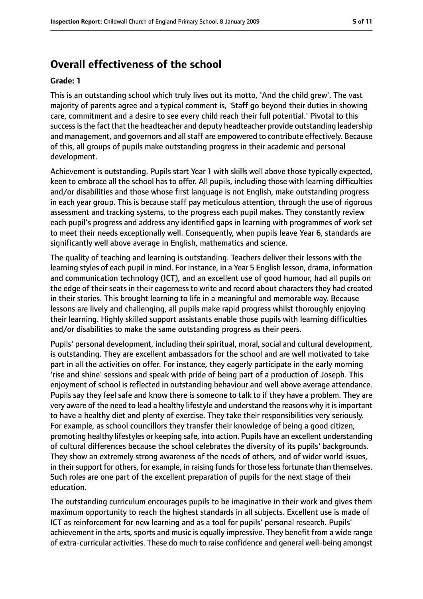## **Overall effectiveness of the school**

#### **Grade: 1**

This is an outstanding school which truly lives out its motto, 'And the child grew'. The vast majority of parents agree and a typical comment is, 'Staff go beyond their duties in showing care, commitment and a desire to see every child reach their full potential.' Pivotal to this success is the fact that the headteacher and deputy headteacher provide outstanding leadership and management, and governors and all staff are empowered to contribute effectively. Because of this, all groups of pupils make outstanding progress in their academic and personal development.

Achievement is outstanding. Pupils start Year 1 with skills well above those typically expected, keen to embrace all the school has to offer. All pupils, including those with learning difficulties and/or disabilities and those whose first language is not English, make outstanding progress in each year group. This is because staff pay meticulous attention, through the use of rigorous assessment and tracking systems, to the progress each pupil makes. They constantly review each pupil's progress and address any identified gaps in learning with programmes of work set to meet their needs exceptionally well. Consequently, when pupils leave Year 6, standards are significantly well above average in English, mathematics and science.

The quality of teaching and learning is outstanding. Teachers deliver their lessons with the learning styles of each pupil in mind. For instance, in a Year 5 English lesson, drama, information and communication technology (ICT), and an excellent use of good humour, had all pupils on the edge of their seats in their eagerness to write and record about characters they had created in their stories. This brought learning to life in a meaningful and memorable way. Because lessons are lively and challenging, all pupils make rapid progress whilst thoroughly enjoying their learning. Highly skilled support assistants enable those pupils with learning difficulties and/or disabilities to make the same outstanding progress as their peers.

Pupils' personal development, including their spiritual, moral, social and cultural development, is outstanding. They are excellent ambassadors for the school and are well motivated to take part in all the activities on offer. For instance, they eagerly participate in the early morning 'rise and shine' sessions and speak with pride of being part of a production of Joseph. This enjoyment of school is reflected in outstanding behaviour and well above average attendance. Pupils say they feel safe and know there is someone to talk to if they have a problem. They are very aware of the need to lead a healthy lifestyle and understand the reasons why it isimportant to have a healthy diet and plenty of exercise. They take their responsibilities very seriously. For example, as school councillors they transfer their knowledge of being a good citizen, promoting healthy lifestyles or keeping safe, into action. Pupils have an excellent understanding of cultural differences because the school celebrates the diversity of its pupils' backgrounds. They show an extremely strong awareness of the needs of others, and of wider world issues, in their support for others, for example, in raising funds for those less fortunate than themselves. Such roles are one part of the excellent preparation of pupils for the next stage of their education.

The outstanding curriculum encourages pupils to be imaginative in their work and gives them maximum opportunity to reach the highest standards in all subjects. Excellent use is made of ICT as reinforcement for new learning and as a tool for pupils' personal research. Pupils' achievement in the arts, sports and music is equally impressive. They benefit from a wide range of extra-curricular activities. These do much to raise confidence and general well-being amongst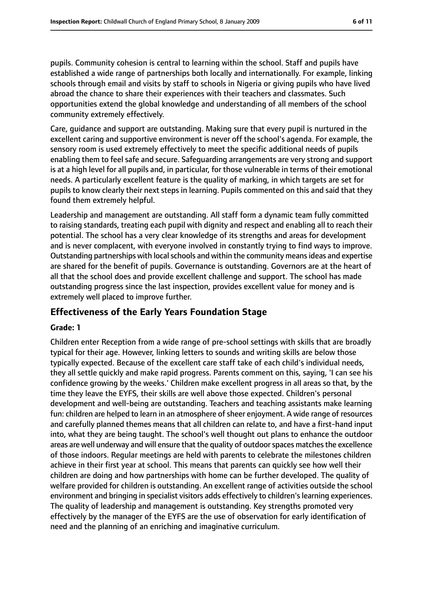pupils. Community cohesion is central to learning within the school. Staff and pupils have established a wide range of partnerships both locally and internationally. For example, linking schools through email and visits by staff to schools in Nigeria or giving pupils who have lived abroad the chance to share their experiences with their teachers and classmates. Such opportunities extend the global knowledge and understanding of all members of the school community extremely effectively.

Care, guidance and support are outstanding. Making sure that every pupil is nurtured in the excellent caring and supportive environment is never off the school's agenda. For example, the sensory room is used extremely effectively to meet the specific additional needs of pupils enabling them to feel safe and secure. Safeguarding arrangements are very strong and support is at a high level for all pupils and, in particular, for those vulnerable in terms of their emotional needs. A particularly excellent feature is the quality of marking, in which targets are set for pupils to know clearly their next steps in learning. Pupils commented on this and said that they found them extremely helpful.

Leadership and management are outstanding. All staff form a dynamic team fully committed to raising standards, treating each pupil with dignity and respect and enabling all to reach their potential. The school has a very clear knowledge of its strengths and areas for development and is never complacent, with everyone involved in constantly trying to find ways to improve. Outstanding partnerships with local schools and within the community means ideas and expertise are shared for the benefit of pupils. Governance is outstanding. Governors are at the heart of all that the school does and provide excellent challenge and support. The school has made outstanding progress since the last inspection, provides excellent value for money and is extremely well placed to improve further.

## **Effectiveness of the Early Years Foundation Stage**

#### **Grade: 1**

Children enter Reception from a wide range of pre-school settings with skills that are broadly typical for their age. However, linking letters to sounds and writing skills are below those typically expected. Because of the excellent care staff take of each child's individual needs, they all settle quickly and make rapid progress. Parents comment on this, saying, 'I can see his confidence growing by the weeks.' Children make excellent progress in all areas so that, by the time they leave the EYFS, their skills are well above those expected. Children's personal development and well-being are outstanding. Teachers and teaching assistants make learning fun: children are helped to learn in an atmosphere of sheer enjoyment. A wide range of resources and carefully planned themes means that all children can relate to, and have a first-hand input into, what they are being taught. The school's well thought out plans to enhance the outdoor areas are well underway and will ensure that the quality of outdoor spaces matches the excellence of those indoors. Regular meetings are held with parents to celebrate the milestones children achieve in their first year at school. This means that parents can quickly see how well their children are doing and how partnerships with home can be further developed. The quality of welfare provided for children is outstanding. An excellent range of activities outside the school environment and bringing in specialist visitors adds effectively to children's learning experiences. The quality of leadership and management is outstanding. Key strengths promoted very effectively by the manager of the EYFS are the use of observation for early identification of need and the planning of an enriching and imaginative curriculum.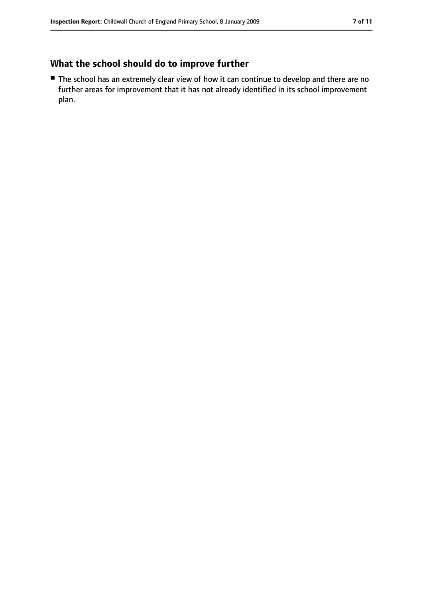## **What the school should do to improve further**

■ The school has an extremely clear view of how it can continue to develop and there are no further areas for improvement that it has not already identified in its school improvement plan.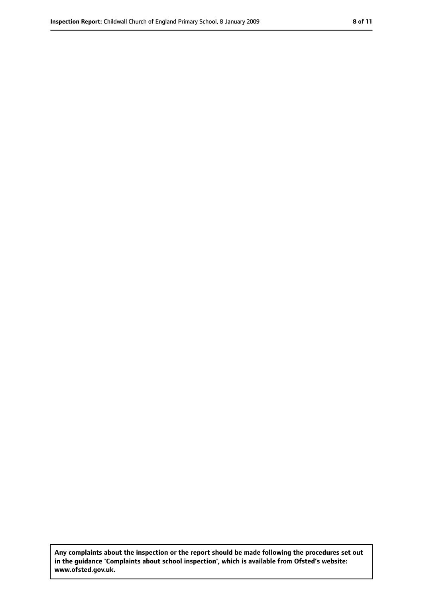**Any complaints about the inspection or the report should be made following the procedures set out in the guidance 'Complaints about school inspection', which is available from Ofsted's website: www.ofsted.gov.uk.**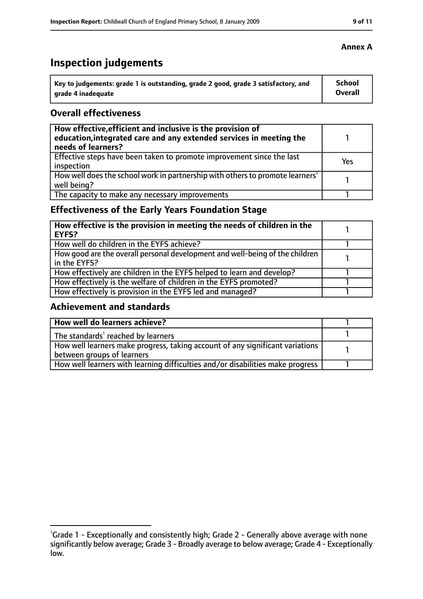## **Inspection judgements**

| Key to judgements: grade 1 is outstanding, grade 2 good, grade 3 satisfactory, and | <b>School</b> |
|------------------------------------------------------------------------------------|---------------|
| arade 4 inadequate                                                                 | Overall       |

## **Overall effectiveness**

| How effective, efficient and inclusive is the provision of<br>education, integrated care and any extended services in meeting the<br>needs of learners? |     |
|---------------------------------------------------------------------------------------------------------------------------------------------------------|-----|
| Effective steps have been taken to promote improvement since the last<br>inspection                                                                     | Yes |
| How well does the school work in partnership with others to promote learners'<br>well being?                                                            |     |
| The capacity to make any necessary improvements                                                                                                         |     |

## **Effectiveness of the Early Years Foundation Stage**

| How effective is the provision in meeting the needs of children in the<br>EYFS?              |  |
|----------------------------------------------------------------------------------------------|--|
| How well do children in the EYFS achieve?                                                    |  |
| How good are the overall personal development and well-being of the children<br>in the EYFS? |  |
| How effectively are children in the EYFS helped to learn and develop?                        |  |
| How effectively is the welfare of children in the EYFS promoted?                             |  |
| How effectively is provision in the EYFS led and managed?                                    |  |

## **Achievement and standards**

| How well do learners achieve?                                                  |  |
|--------------------------------------------------------------------------------|--|
| The standards <sup>1</sup> reached by learners                                 |  |
| How well learners make progress, taking account of any significant variations  |  |
| between groups of learners                                                     |  |
| How well learners with learning difficulties and/or disabilities make progress |  |

## **Annex A**

<sup>&</sup>lt;sup>1</sup>Grade 1 - Exceptionally and consistently high; Grade 2 - Generally above average with none significantly below average; Grade 3 - Broadly average to below average; Grade 4 - Exceptionally low.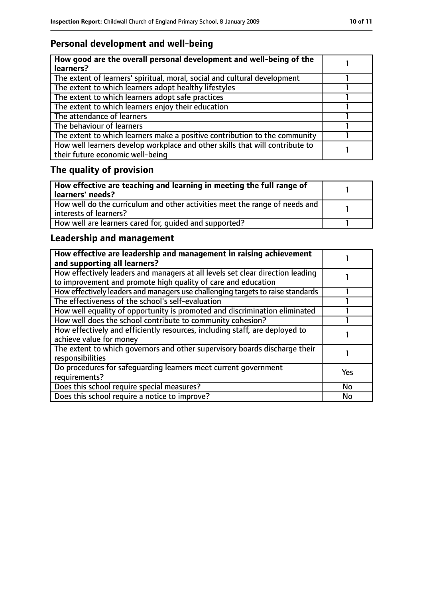## **Personal development and well-being**

| How good are the overall personal development and well-being of the<br>learners?                                 |  |
|------------------------------------------------------------------------------------------------------------------|--|
| The extent of learners' spiritual, moral, social and cultural development                                        |  |
| The extent to which learners adopt healthy lifestyles                                                            |  |
| The extent to which learners adopt safe practices                                                                |  |
| The extent to which learners enjoy their education                                                               |  |
| The attendance of learners                                                                                       |  |
| The behaviour of learners                                                                                        |  |
| The extent to which learners make a positive contribution to the community                                       |  |
| How well learners develop workplace and other skills that will contribute to<br>their future economic well-being |  |

## **The quality of provision**

| How effective are teaching and learning in meeting the full range of<br>learners' needs?              |  |
|-------------------------------------------------------------------------------------------------------|--|
| How well do the curriculum and other activities meet the range of needs and<br>interests of learners? |  |
| How well are learners cared for, quided and supported?                                                |  |

## **Leadership and management**

| How effective are leadership and management in raising achievement<br>and supporting all learners?                                              |           |
|-------------------------------------------------------------------------------------------------------------------------------------------------|-----------|
| How effectively leaders and managers at all levels set clear direction leading<br>to improvement and promote high quality of care and education |           |
| How effectively leaders and managers use challenging targets to raise standards                                                                 |           |
| The effectiveness of the school's self-evaluation                                                                                               |           |
| How well equality of opportunity is promoted and discrimination eliminated                                                                      |           |
| How well does the school contribute to community cohesion?                                                                                      |           |
| How effectively and efficiently resources, including staff, are deployed to<br>achieve value for money                                          |           |
| The extent to which governors and other supervisory boards discharge their<br>responsibilities                                                  |           |
| Do procedures for safequarding learners meet current government<br>requirements?                                                                | Yes       |
| Does this school require special measures?                                                                                                      | <b>No</b> |
| Does this school require a notice to improve?                                                                                                   | No        |